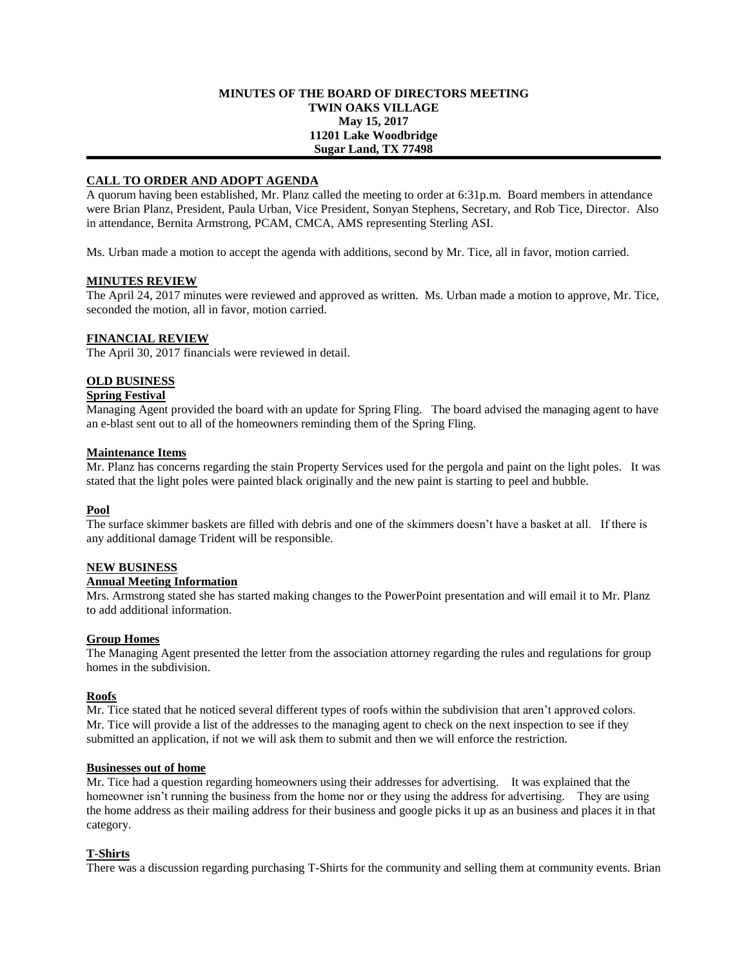#### **MINUTES OF THE BOARD OF DIRECTORS MEETING TWIN OAKS VILLAGE May 15, 2017 11201 Lake Woodbridge Sugar Land, TX 77498**

# **CALL TO ORDER AND ADOPT AGENDA**

A quorum having been established, Mr. Planz called the meeting to order at 6:31p.m. Board members in attendance were Brian Planz, President, Paula Urban, Vice President, Sonyan Stephens, Secretary, and Rob Tice, Director. Also in attendance, Bernita Armstrong, PCAM, CMCA, AMS representing Sterling ASI.

Ms. Urban made a motion to accept the agenda with additions, second by Mr. Tice, all in favor, motion carried.

#### **MINUTES REVIEW**

The April 24, 2017 minutes were reviewed and approved as written. Ms. Urban made a motion to approve, Mr. Tice, seconded the motion, all in favor, motion carried.

#### **FINANCIAL REVIEW**

The April 30, 2017 financials were reviewed in detail.

# **OLD BUSINESS**

# **Spring Festival**

Managing Agent provided the board with an update for Spring Fling. The board advised the managing agent to have an e-blast sent out to all of the homeowners reminding them of the Spring Fling.

#### **Maintenance Items**

Mr. Planz has concerns regarding the stain Property Services used for the pergola and paint on the light poles. It was stated that the light poles were painted black originally and the new paint is starting to peel and bubble.

# **Pool**

The surface skimmer baskets are filled with debris and one of the skimmers doesn't have a basket at all. If there is any additional damage Trident will be responsible.

# **NEW BUSINESS**

# **Annual Meeting Information**

Mrs. Armstrong stated she has started making changes to the PowerPoint presentation and will email it to Mr. Planz to add additional information.

#### **Group Homes**

The Managing Agent presented the letter from the association attorney regarding the rules and regulations for group homes in the subdivision.

#### **Roofs**

Mr. Tice stated that he noticed several different types of roofs within the subdivision that aren't approved colors. Mr. Tice will provide a list of the addresses to the managing agent to check on the next inspection to see if they submitted an application, if not we will ask them to submit and then we will enforce the restriction.

#### **Businesses out of home**

Mr. Tice had a question regarding homeowners using their addresses for advertising. It was explained that the homeowner isn't running the business from the home nor or they using the address for advertising. They are using the home address as their mailing address for their business and google picks it up as an business and places it in that category.

# **T-Shirts**

There was a discussion regarding purchasing T-Shirts for the community and selling them at community events. Brian